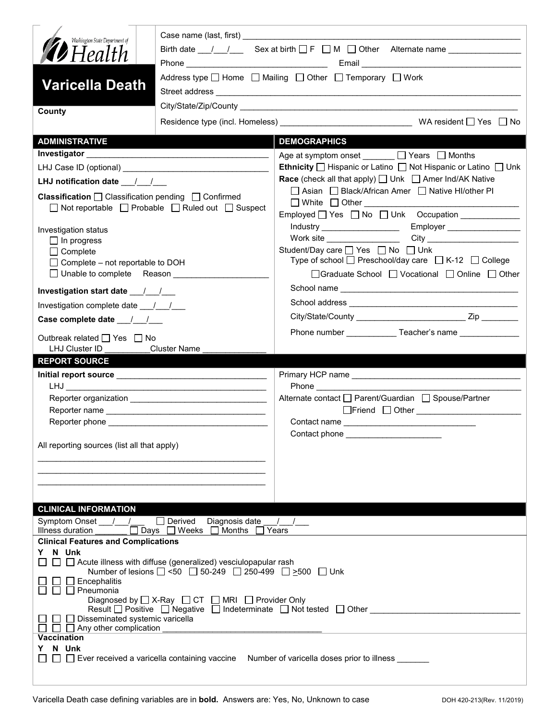| Washington State Department of                                                     |                                                                             | Birth date $1 \quad 1$ Sex at birth $\Box$ F $\Box$ M $\Box$ Other Alternate name                                            |
|------------------------------------------------------------------------------------|-----------------------------------------------------------------------------|------------------------------------------------------------------------------------------------------------------------------|
| <b>12</b> Health                                                                   |                                                                             |                                                                                                                              |
|                                                                                    |                                                                             | Address type $\Box$ Home $\Box$ Mailing $\Box$ Other $\Box$ Temporary $\Box$ Work                                            |
| <b>Varicella Death</b>                                                             |                                                                             |                                                                                                                              |
|                                                                                    |                                                                             |                                                                                                                              |
| County                                                                             |                                                                             |                                                                                                                              |
|                                                                                    |                                                                             |                                                                                                                              |
| <b>ADMINISTRATIVE</b>                                                              |                                                                             | <b>DEMOGRAPHICS</b>                                                                                                          |
|                                                                                    |                                                                             | Age at symptom onset ______ □ Years □ Months                                                                                 |
|                                                                                    |                                                                             | <b>Ethnicity</b> $\Box$ Hispanic or Latino $\Box$ Not Hispanic or Latino $\Box$ Unk                                          |
| LHJ notification date __/_/__                                                      |                                                                             | <b>Race</b> (check all that apply) $\Box$ Unk $\Box$ Amer Ind/AK Native<br>□ Asian □ Black/African Amer □ Native HI/other PI |
| <b>Classification</b> $\Box$ Classification pending $\Box$ Confirmed               |                                                                             | $\Box$ White $\Box$ Other $\Box$                                                                                             |
|                                                                                    | $\Box$ Not reportable $\Box$ Probable $\Box$ Ruled out $\Box$ Suspect       |                                                                                                                              |
| Investigation status                                                               |                                                                             |                                                                                                                              |
| $\Box$ In progress                                                                 |                                                                             |                                                                                                                              |
| $\Box$ Complete                                                                    |                                                                             | Student/Day care   Yes   No   Unk<br>Type of school $\Box$ Preschool/day care $\Box$ K-12 $\Box$ College                     |
| $\Box$ Complete – not reportable to DOH<br>□ Unable to complete Reason ___________ |                                                                             | □Graduate School □ Vocational □ Online □ Other                                                                               |
|                                                                                    |                                                                             |                                                                                                                              |
|                                                                                    |                                                                             |                                                                                                                              |
| Investigation complete date 11                                                     |                                                                             |                                                                                                                              |
|                                                                                    |                                                                             |                                                                                                                              |
| Outbreak related □ Yes □ No                                                        |                                                                             | Phone number ______________Teacher's name ________________                                                                   |
| LHJ Cluster ID Cluster Name                                                        |                                                                             |                                                                                                                              |
| <b>REPORT SOURCE</b>                                                               |                                                                             |                                                                                                                              |
|                                                                                    |                                                                             |                                                                                                                              |
|                                                                                    |                                                                             | Alternate contact<br>□ Parent/Guardian<br>□ Spouse/Partner                                                                   |
|                                                                                    |                                                                             | □Friend □ Other <u>____________________</u>                                                                                  |
|                                                                                    |                                                                             |                                                                                                                              |
|                                                                                    |                                                                             | Contact phone __________________                                                                                             |
| All reporting sources (list all that apply)                                        |                                                                             |                                                                                                                              |
|                                                                                    |                                                                             |                                                                                                                              |
|                                                                                    |                                                                             |                                                                                                                              |
|                                                                                    |                                                                             |                                                                                                                              |
| <b>CLINICAL INFORMATION</b>                                                        |                                                                             |                                                                                                                              |
| Symptom Onset / /                                                                  | $\Box$ Derived<br>Diagnosis date                                            |                                                                                                                              |
| Illness duration                                                                   | Days □ Weeks □ Months □                                                     | Years                                                                                                                        |
| <b>Clinical Features and Complications</b><br>Y N Unk                              |                                                                             |                                                                                                                              |
|                                                                                    | $\Box$ $\Box$ Acute illness with diffuse (generalized) vesciulopapular rash |                                                                                                                              |
|                                                                                    | Number of lesions 2 <50 250-249 250-499 2 > 500 Unk                         |                                                                                                                              |
| $\Box$ Encephalitis<br>$\Box$ Pneumonia                                            |                                                                             |                                                                                                                              |
|                                                                                    | Diagnosed by $\Box$ X-Ray $\Box$ CT $\Box$ MRI $\Box$ Provider Only         |                                                                                                                              |
| □ Disseminated systemic varicella                                                  |                                                                             | Result □ Positive □ Negative □ Indeterminate □ Not tested □ Other _____                                                      |
| $\Box$ Any other complication                                                      |                                                                             |                                                                                                                              |
| <b>Vaccination</b><br>N Unk<br>Y.                                                  |                                                                             |                                                                                                                              |
|                                                                                    |                                                                             | □ □ Ever received a varicella containing vaccine Number of varicella doses prior to illness ______                           |
|                                                                                    |                                                                             |                                                                                                                              |
|                                                                                    |                                                                             |                                                                                                                              |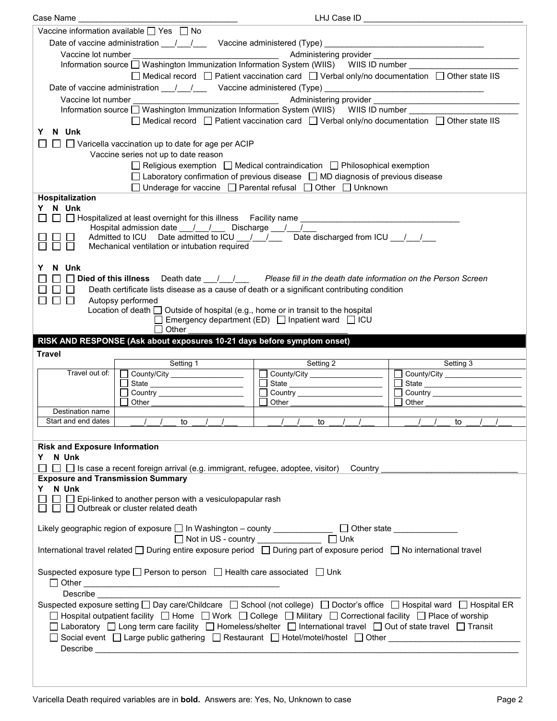| Case Name                                |                                                                                                                                                                                            | LHJ Case ID                                                                                                      |                                                                                                                         |
|------------------------------------------|--------------------------------------------------------------------------------------------------------------------------------------------------------------------------------------------|------------------------------------------------------------------------------------------------------------------|-------------------------------------------------------------------------------------------------------------------------|
|                                          | Vaccine information available $\Box$ Yes $\Box$ No                                                                                                                                         |                                                                                                                  |                                                                                                                         |
|                                          | Date of vaccine administration __/__/___ Vaccine administered (Type) _____                                                                                                                 |                                                                                                                  | <u> 1989 - Johann Stein, mars an deus Frankryk (</u>                                                                    |
| Vaccine lot number                       |                                                                                                                                                                                            |                                                                                                                  |                                                                                                                         |
|                                          | Information source Washington Immunization Information System (WIIS) WIIS ID number                                                                                                        |                                                                                                                  |                                                                                                                         |
|                                          |                                                                                                                                                                                            | $\Box$ Medical record $\Box$ Patient vaccination card $\Box$ Verbal only/no documentation $\Box$ Other state IIS |                                                                                                                         |
|                                          |                                                                                                                                                                                            |                                                                                                                  |                                                                                                                         |
|                                          | Date of vaccine administration 11/2000 Vaccine administered (Type) 2008. [2010]                                                                                                            |                                                                                                                  |                                                                                                                         |
| Vaccine lot number                       |                                                                                                                                                                                            |                                                                                                                  | Administering provider <b>Administering</b> or and the state of the state of the state of the state of the state of the |
|                                          |                                                                                                                                                                                            |                                                                                                                  |                                                                                                                         |
|                                          |                                                                                                                                                                                            | $\Box$ Medical record $\Box$ Patient vaccination card $\Box$ Verbal only/no documentation $\Box$ Other state IIS |                                                                                                                         |
| N Unk<br>Y.                              |                                                                                                                                                                                            |                                                                                                                  |                                                                                                                         |
|                                          | $\Box$ $\Box$ Varicella vaccination up to date for age per ACIP                                                                                                                            |                                                                                                                  |                                                                                                                         |
|                                          | Vaccine series not up to date reason                                                                                                                                                       |                                                                                                                  |                                                                                                                         |
|                                          |                                                                                                                                                                                            | $\Box$ Religious exemption $\Box$ Medical contraindication $\Box$ Philosophical exemption                        |                                                                                                                         |
|                                          |                                                                                                                                                                                            | □ Laboratory confirmation of previous disease □ MD diagnosis of previous disease                                 |                                                                                                                         |
|                                          |                                                                                                                                                                                            | □ Underage for vaccine □ Parental refusal □ Other □ Unknown                                                      |                                                                                                                         |
| <b>Hospitalization</b>                   |                                                                                                                                                                                            |                                                                                                                  |                                                                                                                         |
| Y N Unk                                  |                                                                                                                                                                                            |                                                                                                                  |                                                                                                                         |
|                                          | □ □ Hospitalized at least overnight for this illness Facility name ________________________________                                                                                        |                                                                                                                  |                                                                                                                         |
|                                          | Hospital admission date ___ /____/ ____ Discharge ___ /___ /__<br>Admitted to ICU Date admitted to ICU $\frac{1}{\sqrt{2}}$ Date discharged from ICU $\frac{1}{\sqrt{2}}$                  |                                                                                                                  |                                                                                                                         |
|                                          | Mechanical ventilation or intubation required                                                                                                                                              |                                                                                                                  |                                                                                                                         |
|                                          |                                                                                                                                                                                            |                                                                                                                  |                                                                                                                         |
| N Unk<br>Y.                              |                                                                                                                                                                                            |                                                                                                                  |                                                                                                                         |
|                                          | $\Box$ Died of this illness Death date $\Box$ / $\Box$ Please fill in the death date information on the Person Screen                                                                      |                                                                                                                  |                                                                                                                         |
| $\Box$ $\Box$                            |                                                                                                                                                                                            |                                                                                                                  |                                                                                                                         |
| $\Box$ $\Box$                            | Death certificate lists disease as a cause of death or a significant contributing condition                                                                                                |                                                                                                                  |                                                                                                                         |
|                                          | Autopsy performed<br>Location of death $\Box$ Outside of hospital (e.g., home or in transit to the hospital                                                                                |                                                                                                                  |                                                                                                                         |
|                                          |                                                                                                                                                                                            | Emergency department (ED) $\Box$ Inpatient ward $\Box$ ICU                                                       |                                                                                                                         |
|                                          | Other                                                                                                                                                                                      |                                                                                                                  |                                                                                                                         |
|                                          | RISK AND RESPONSE (Ask about exposures 10-21 days before symptom onset)                                                                                                                    |                                                                                                                  |                                                                                                                         |
|                                          |                                                                                                                                                                                            |                                                                                                                  |                                                                                                                         |
|                                          |                                                                                                                                                                                            |                                                                                                                  |                                                                                                                         |
| Travel                                   |                                                                                                                                                                                            |                                                                                                                  |                                                                                                                         |
| Travel out of:                           | Setting 1                                                                                                                                                                                  | Setting 2                                                                                                        | Setting 3                                                                                                               |
|                                          | County/City ____________________                                                                                                                                                           | County/City ___________________                                                                                  | County/City _______________________<br>$\Box$                                                                           |
|                                          | State _________________________                                                                                                                                                            |                                                                                                                  |                                                                                                                         |
|                                          | Other _________                                                                                                                                                                            | Other                                                                                                            | Other                                                                                                                   |
| Destination name                         |                                                                                                                                                                                            |                                                                                                                  |                                                                                                                         |
| Start and end dates                      | $\frac{1}{2}$<br>to to                                                                                                                                                                     | to                                                                                                               | to                                                                                                                      |
|                                          |                                                                                                                                                                                            |                                                                                                                  |                                                                                                                         |
| <b>Risk and Exposure Information</b>     |                                                                                                                                                                                            |                                                                                                                  |                                                                                                                         |
| Y N Unk                                  |                                                                                                                                                                                            |                                                                                                                  |                                                                                                                         |
|                                          |                                                                                                                                                                                            |                                                                                                                  |                                                                                                                         |
| <b>Exposure and Transmission Summary</b> |                                                                                                                                                                                            |                                                                                                                  |                                                                                                                         |
| Y N Unk                                  |                                                                                                                                                                                            |                                                                                                                  |                                                                                                                         |
|                                          | $\Box$ Epi-linked to another person with a vesiculopapular rash                                                                                                                            |                                                                                                                  |                                                                                                                         |
|                                          | $\Box$ $\Box$ Outbreak or cluster related death                                                                                                                                            |                                                                                                                  |                                                                                                                         |
|                                          |                                                                                                                                                                                            |                                                                                                                  |                                                                                                                         |
|                                          |                                                                                                                                                                                            |                                                                                                                  |                                                                                                                         |
|                                          | Likely geographic region of exposure $\Box$ In Washington – county $\Box$ $\Box$ Other state $\Box$ Other state $\Box$ Not in US - country $\Box$ Unk<br>Not in US - country _____________ |                                                                                                                  |                                                                                                                         |
|                                          | International travel related □ During entire exposure period □ During part of exposure period □ No international travel                                                                    |                                                                                                                  |                                                                                                                         |
|                                          |                                                                                                                                                                                            |                                                                                                                  |                                                                                                                         |
|                                          | Suspected exposure type □ Person to person □ Health care associated □ Unk                                                                                                                  |                                                                                                                  |                                                                                                                         |
|                                          |                                                                                                                                                                                            |                                                                                                                  |                                                                                                                         |
| Describe                                 |                                                                                                                                                                                            |                                                                                                                  |                                                                                                                         |
|                                          | Suspected exposure setting $\Box$ Day care/Childcare $\Box$ School (not college) $\Box$ Doctor's office $\Box$ Hospital ward $\Box$ Hospital ER                                            |                                                                                                                  |                                                                                                                         |
|                                          | □ Hospital outpatient facility □ Home □ Work □ College □ Military □ Correctional facility □ Place of worship                                                                               |                                                                                                                  |                                                                                                                         |
|                                          | □ Laboratory □ Long term care facility □ Homeless/shelter □ International travel □ Out of state travel □ Transit                                                                           |                                                                                                                  |                                                                                                                         |
|                                          | □ Social event □ Large public gathering □ Restaurant □ Hotel/motel/hostel □ Other                                                                                                          |                                                                                                                  |                                                                                                                         |
|                                          |                                                                                                                                                                                            |                                                                                                                  |                                                                                                                         |
|                                          |                                                                                                                                                                                            |                                                                                                                  |                                                                                                                         |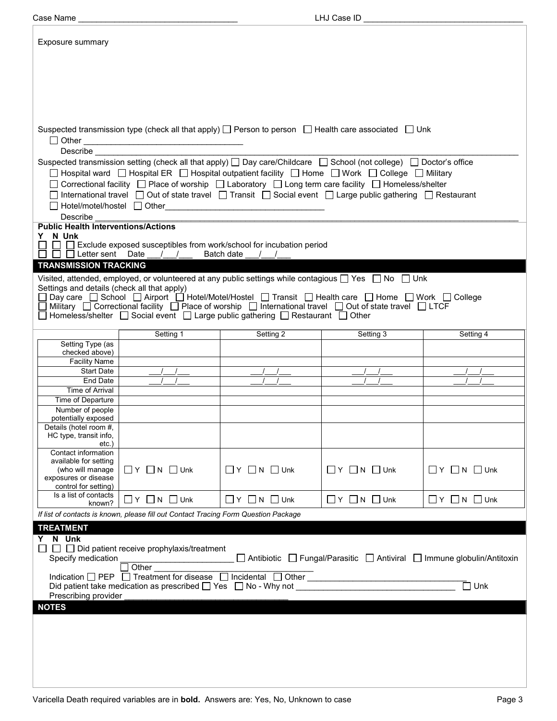| Case Name                                                         |                                                                                                                                                                                                                                                  |                                                                                                                      | LHJ Case ID                  |                                                                         |
|-------------------------------------------------------------------|--------------------------------------------------------------------------------------------------------------------------------------------------------------------------------------------------------------------------------------------------|----------------------------------------------------------------------------------------------------------------------|------------------------------|-------------------------------------------------------------------------|
| Exposure summary                                                  |                                                                                                                                                                                                                                                  |                                                                                                                      |                              |                                                                         |
|                                                                   |                                                                                                                                                                                                                                                  |                                                                                                                      |                              |                                                                         |
|                                                                   |                                                                                                                                                                                                                                                  |                                                                                                                      |                              |                                                                         |
|                                                                   | Suspected transmission type (check all that apply) $\Box$ Person to person $\Box$ Health care associated $\Box$ Unk                                                                                                                              |                                                                                                                      |                              |                                                                         |
| $\Box$ Other<br>Describe                                          |                                                                                                                                                                                                                                                  |                                                                                                                      |                              |                                                                         |
|                                                                   | Suspected transmission setting (check all that apply) $\Box$ Day care/Childcare $\Box$ School (not college) $\Box$ Doctor's office                                                                                                               |                                                                                                                      |                              |                                                                         |
|                                                                   | □ Hospital ward □ Hospital ER □ Hospital outpatient facility □ Home □ Work □ College □ Military<br>$\Box$ Correctional facility $\;\;\Box$ Place of worship $\;\;\Box$ Laboratory $\;\;\Box$ Long term care facility $\;\;\Box$ Homeless/shelter |                                                                                                                      |                              |                                                                         |
|                                                                   | $□$ International travel $□$ Out of state travel $□$ Transit $□$ Social event $□$ Large public gathering $□$ Restaurant                                                                                                                          |                                                                                                                      |                              |                                                                         |
| □ Hotel/motel/hostel □ Other<br>Describe                          |                                                                                                                                                                                                                                                  | <u> 1980 - Jan Stein Stein Stein Stein Stein Stein Stein Stein Stein Stein Stein Stein Stein Stein Stein Stein S</u> |                              |                                                                         |
| <b>Public Health Interventions/Actions</b><br>N Unk<br>Y.         |                                                                                                                                                                                                                                                  |                                                                                                                      |                              |                                                                         |
|                                                                   | $\Box$ Exclude exposed susceptibles from work/school for incubation period                                                                                                                                                                       |                                                                                                                      |                              |                                                                         |
| <b>TRANSMISSION TRACKING</b>                                      | $\Box$ $\Box$ Letter sent Date / /                                                                                                                                                                                                               | Batch date                                                                                                           |                              |                                                                         |
|                                                                   | Visited, attended, employed, or volunteered at any public settings while contagious $\Box$ Yes $\Box$ No $\Box$ Unk                                                                                                                              |                                                                                                                      |                              |                                                                         |
| Settings and details (check all that apply)                       |                                                                                                                                                                                                                                                  |                                                                                                                      |                              |                                                                         |
|                                                                   | □ Day care □ School □ Airport □ Hotel/Motel/Hostel □ Transit □ Health care □ Home □ Work □ College<br>□ Military □ Correctional facility □ Place of worship □ International travel □ Out of state travel □ LTCF                                  |                                                                                                                      |                              |                                                                         |
|                                                                   | $□$ Homeless/shelter $□$ Social event $□$ Large public gathering $□$ Restaurant $□$ Other                                                                                                                                                        |                                                                                                                      |                              |                                                                         |
|                                                                   | Setting 1                                                                                                                                                                                                                                        | Setting 2                                                                                                            | Setting 3                    | Setting 4                                                               |
| Setting Type (as                                                  |                                                                                                                                                                                                                                                  |                                                                                                                      |                              |                                                                         |
| checked above)<br><b>Facility Name</b>                            |                                                                                                                                                                                                                                                  |                                                                                                                      |                              |                                                                         |
| <b>Start Date</b>                                                 |                                                                                                                                                                                                                                                  |                                                                                                                      |                              |                                                                         |
| End Date                                                          |                                                                                                                                                                                                                                                  |                                                                                                                      |                              |                                                                         |
| <b>Time of Arrival</b>                                            |                                                                                                                                                                                                                                                  |                                                                                                                      |                              |                                                                         |
| Time of Departure<br>Number of people                             |                                                                                                                                                                                                                                                  |                                                                                                                      |                              |                                                                         |
| potentially exposed                                               |                                                                                                                                                                                                                                                  |                                                                                                                      |                              |                                                                         |
| Details (hotel room #,<br>HC type, transit info,<br>etc.          |                                                                                                                                                                                                                                                  |                                                                                                                      |                              |                                                                         |
| Contact information                                               |                                                                                                                                                                                                                                                  |                                                                                                                      |                              |                                                                         |
| available for setting<br>(who will manage<br>exposures or disease | $\Box$ Y $\Box$ N $\Box$ Unk                                                                                                                                                                                                                     | $\Box$ Y $\Box$ N $\Box$ Unk                                                                                         | $\Box$ Y $\Box$ N $\Box$ Unk | $\Box$ Y $\Box$ N $\Box$ Unk                                            |
| control for setting)                                              |                                                                                                                                                                                                                                                  |                                                                                                                      |                              |                                                                         |
| Is a list of contacts<br>known?                                   | $\Box$ Y $\Box$ N $\Box$ Unk                                                                                                                                                                                                                     | $\Box Y \Box N \Box$ Unk                                                                                             | $\Box Y$ $\Box N$ $\Box$ Unk | $\Box$ $Y$ $\Box$ $N$ $\Box$ Unk                                        |
|                                                                   | If list of contacts is known, please fill out Contact Tracing Form Question Package                                                                                                                                                              |                                                                                                                      |                              |                                                                         |
| <b>TREATMENT</b>                                                  |                                                                                                                                                                                                                                                  |                                                                                                                      |                              |                                                                         |
| Y N Unk                                                           | $\Box$ $\Box$ Did patient receive prophylaxis/treatment                                                                                                                                                                                          |                                                                                                                      |                              |                                                                         |
| Specify medication                                                | Other                                                                                                                                                                                                                                            |                                                                                                                      |                              | □ Antibiotic □ Fungal/Parasitic □ Antiviral □ Immune globulin/Antitoxin |
|                                                                   | Indication □ PEP □ Treatment for disease □ Incidental □ Other __________________                                                                                                                                                                 |                                                                                                                      |                              |                                                                         |
|                                                                   | Did patient take medication as prescribed $\Box$ Yes $\Box$ No - Why not                                                                                                                                                                         |                                                                                                                      |                              | $\square$ Unk                                                           |
| Prescribing provider<br><b>NOTES</b>                              |                                                                                                                                                                                                                                                  |                                                                                                                      |                              |                                                                         |
|                                                                   |                                                                                                                                                                                                                                                  |                                                                                                                      |                              |                                                                         |
|                                                                   |                                                                                                                                                                                                                                                  |                                                                                                                      |                              |                                                                         |
|                                                                   |                                                                                                                                                                                                                                                  |                                                                                                                      |                              |                                                                         |
|                                                                   |                                                                                                                                                                                                                                                  |                                                                                                                      |                              |                                                                         |
|                                                                   |                                                                                                                                                                                                                                                  |                                                                                                                      |                              |                                                                         |
|                                                                   |                                                                                                                                                                                                                                                  |                                                                                                                      |                              |                                                                         |